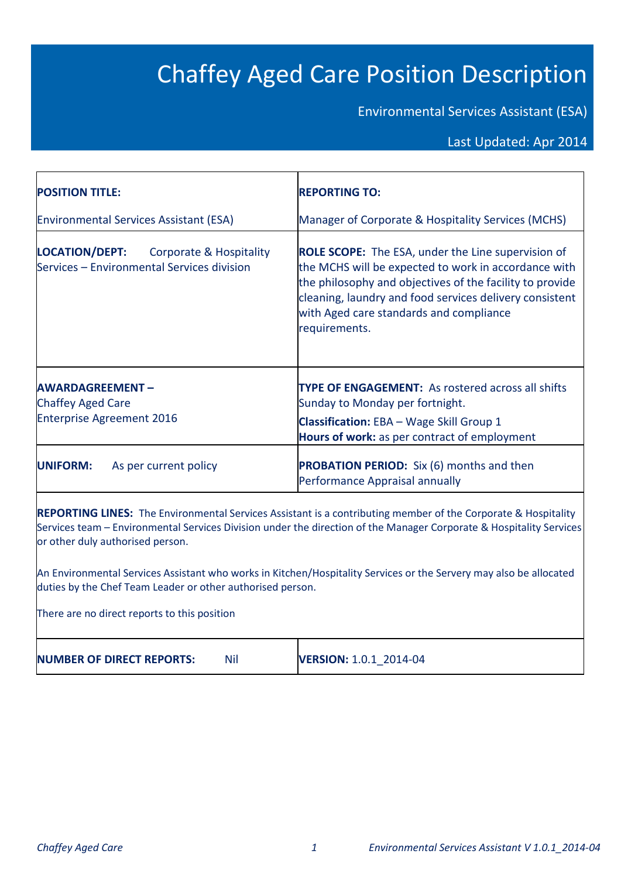# Chaffey Aged Care Position Description

Environmental Services Assistant (ESA)

# Last Updated: Apr 2014

| <b>POSITION TITLE:</b>                                                                                    | <b>REPORTING TO:</b>                                                                                                                                                                                                                                                                                 |
|-----------------------------------------------------------------------------------------------------------|------------------------------------------------------------------------------------------------------------------------------------------------------------------------------------------------------------------------------------------------------------------------------------------------------|
| <b>Environmental Services Assistant (ESA)</b>                                                             | Manager of Corporate & Hospitality Services (MCHS)                                                                                                                                                                                                                                                   |
| <b>LOCATION/DEPT:</b><br><b>Corporate &amp; Hospitality</b><br>Services - Environmental Services division | <b>ROLE SCOPE:</b> The ESA, under the Line supervision of<br>the MCHS will be expected to work in accordance with<br>the philosophy and objectives of the facility to provide<br>cleaning, laundry and food services delivery consistent<br>with Aged care standards and compliance<br>requirements. |
| <b>AWARDAGREEMENT-</b><br><b>Chaffey Aged Care</b><br><b>Enterprise Agreement 2016</b>                    | <b>TYPE OF ENGAGEMENT:</b> As rostered across all shifts<br>Sunday to Monday per fortnight.<br><b>Classification:</b> EBA - Wage Skill Group 1<br>Hours of work: as per contract of employment                                                                                                       |
| <b>UNIFORM:</b><br>As per current policy                                                                  | <b>PROBATION PERIOD:</b> Six (6) months and then<br>Performance Appraisal annually                                                                                                                                                                                                                   |

Services team – Environmental Services Division under the direction of the Manager Corporate & Hospitality Services or other duly authorised person.

An Environmental Services Assistant who works in Kitchen/Hospitality Services or the Servery may also be allocated duties by the Chef Team Leader or other authorised person.

There are no direct reports to this position

**NUMBER OF DIRECT REPORTS:** Nil **VERSION:** 1.0.1\_2014-04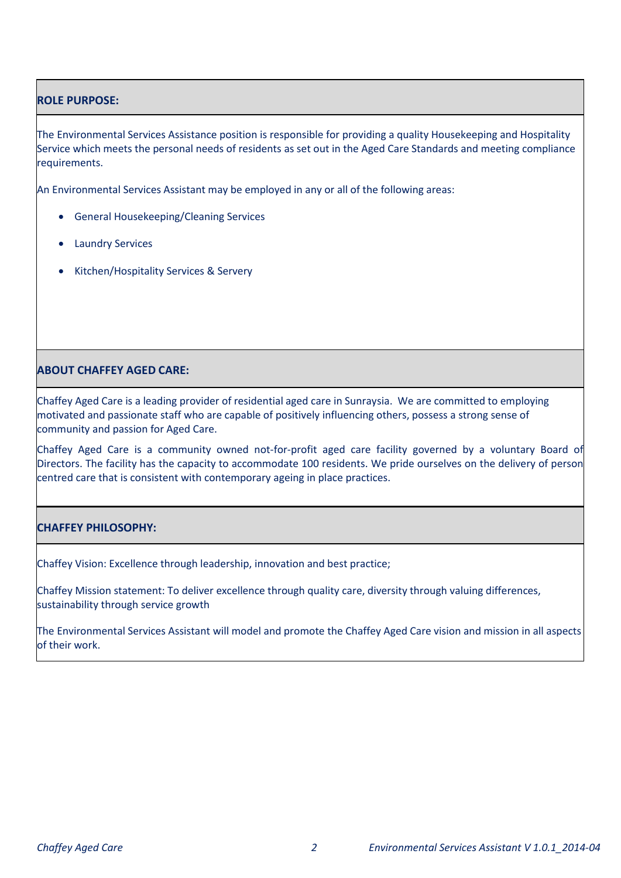# **ROLE PURPOSE:**

The Environmental Services Assistance position is responsible for providing a quality Housekeeping and Hospitality Service which meets the personal needs of residents as set out in the Aged Care Standards and meeting compliance requirements.

An Environmental Services Assistant may be employed in any or all of the following areas:

- General Housekeeping/Cleaning Services
- **•** Laundry Services
- Kitchen/Hospitality Services & Servery

# **ABOUT CHAFFEY AGED CARE:**

Chaffey Aged Care is a leading provider of residential aged care in Sunraysia. We are committed to employing motivated and passionate staff who are capable of positively influencing others, possess a strong sense of community and passion for Aged Care.

Chaffey Aged Care is a community owned not-for-profit aged care facility governed by a voluntary Board of Directors. The facility has the capacity to accommodate 100 residents. We pride ourselves on the delivery of person centred care that is consistent with contemporary ageing in place practices.

# **CHAFFEY PHILOSOPHY:**

Chaffey Vision: Excellence through leadership, innovation and best practice;

Chaffey Mission statement: To deliver excellence through quality care, diversity through valuing differences, sustainability through service growth

The Environmental Services Assistant will model and promote the Chaffey Aged Care vision and mission in all aspects of their work.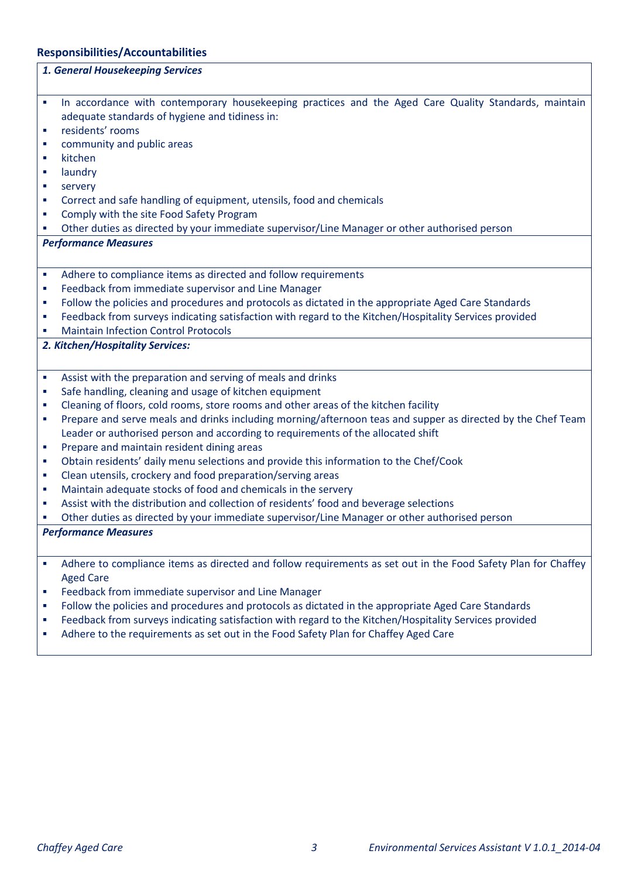# **Responsibilities/Accountabilities**

|                | 1. General Housekeeping Services                                                                              |
|----------------|---------------------------------------------------------------------------------------------------------------|
|                |                                                                                                               |
| ×              | In accordance with contemporary housekeeping practices and the Aged Care Quality Standards, maintain          |
|                | adequate standards of hygiene and tidiness in:                                                                |
| ×              | residents' rooms                                                                                              |
| ш              | community and public areas                                                                                    |
| п              | kitchen                                                                                                       |
| ш              | laundry                                                                                                       |
| ш              | servery                                                                                                       |
| ш              | Correct and safe handling of equipment, utensils, food and chemicals                                          |
| I.             | Comply with the site Food Safety Program                                                                      |
| П              | Other duties as directed by your immediate supervisor/Line Manager or other authorised person                 |
|                | <b>Performance Measures</b>                                                                                   |
|                |                                                                                                               |
| $\blacksquare$ | Adhere to compliance items as directed and follow requirements                                                |
| I.             | Feedback from immediate supervisor and Line Manager                                                           |
| I.             | Follow the policies and procedures and protocols as dictated in the appropriate Aged Care Standards           |
| I.             | Feedback from surveys indicating satisfaction with regard to the Kitchen/Hospitality Services provided        |
| ш              | <b>Maintain Infection Control Protocols</b>                                                                   |
|                | 2. Kitchen/Hospitality Services:                                                                              |
|                |                                                                                                               |
| ×              | Assist with the preparation and serving of meals and drinks                                                   |
| ш              | Safe handling, cleaning and usage of kitchen equipment                                                        |
| ш              | Cleaning of floors, cold rooms, store rooms and other areas of the kitchen facility                           |
| ×              | Prepare and serve meals and drinks including morning/afternoon teas and supper as directed by the Chef Team   |
|                | Leader or authorised person and according to requirements of the allocated shift                              |
| ш              | Prepare and maintain resident dining areas                                                                    |
| ш              | Obtain residents' daily menu selections and provide this information to the Chef/Cook                         |
| ш              | Clean utensils, crockery and food preparation/serving areas                                                   |
| I.             | Maintain adequate stocks of food and chemicals in the servery                                                 |
| ш              | Assist with the distribution and collection of residents' food and beverage selections                        |
| I.             | Other duties as directed by your immediate supervisor/Line Manager or other authorised person                 |
|                | <b>Performance Measures</b>                                                                                   |
|                |                                                                                                               |
|                |                                                                                                               |
| ш              | Adhere to compliance items as directed and follow requirements as set out in the Food Safety Plan for Chaffey |
|                | <b>Aged Care</b>                                                                                              |
| I.             | Feedback from immediate supervisor and Line Manager                                                           |
| ш              | Follow the policies and procedures and protocols as dictated in the appropriate Aged Care Standards           |
| ш              | Feedback from surveys indicating satisfaction with regard to the Kitchen/Hospitality Services provided        |
| I.             | Adhere to the requirements as set out in the Food Safety Plan for Chaffey Aged Care                           |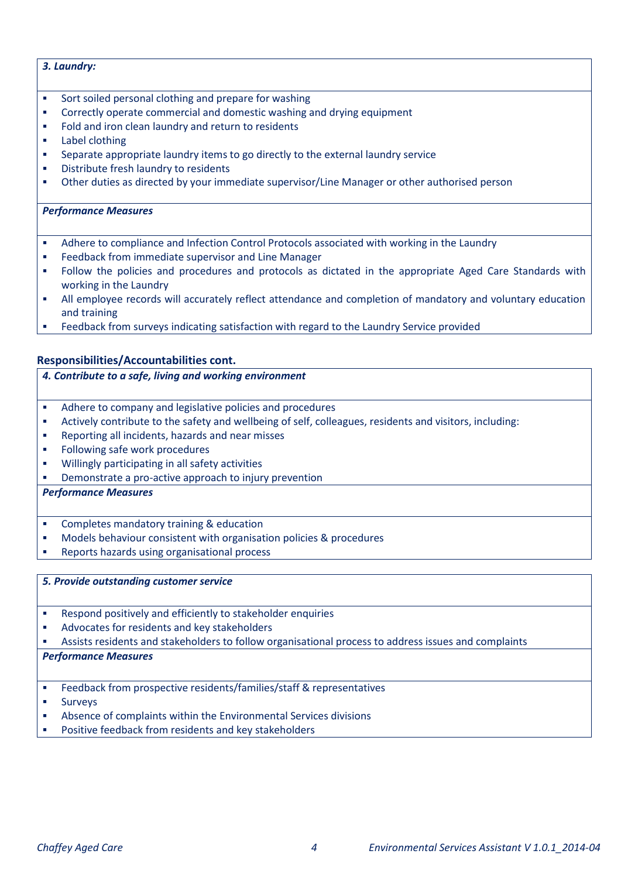# *3. Laundry:*

- Sort soiled personal clothing and prepare for washing
- Correctly operate commercial and domestic washing and drying equipment
- Fold and iron clean laundry and return to residents
- **Label clothing**
- Separate appropriate laundry items to go directly to the external laundry service
- **Distribute fresh laundry to residents**
- Other duties as directed by your immediate supervisor/Line Manager or other authorised person

#### *Performance Measures*

- Adhere to compliance and Infection Control Protocols associated with working in the Laundry
- Feedback from immediate supervisor and Line Manager
- Follow the policies and procedures and protocols as dictated in the appropriate Aged Care Standards with working in the Laundry
- All employee records will accurately reflect attendance and completion of mandatory and voluntary education and training
- Feedback from surveys indicating satisfaction with regard to the Laundry Service provided

# **Responsibilities/Accountabilities cont.**

- *4. Contribute to a safe, living and working environment*
- Adhere to company and legislative policies and procedures
- Actively contribute to the safety and wellbeing of self, colleagues, residents and visitors, including:
- Reporting all incidents, hazards and near misses
- **Following safe work procedures**
- Willingly participating in all safety activities
- Demonstrate a pro-active approach to injury prevention

# *Performance Measures*

- Completes mandatory training & education
- Models behaviour consistent with organisation policies & procedures
- **Reports hazards using organisational process**

#### *5. Provide outstanding customer service*

- Respond positively and efficiently to stakeholder enquiries
- Advocates for residents and key stakeholders

Assists residents and stakeholders to follow organisational process to address issues and complaints

#### *Performance Measures*

- Feedback from prospective residents/families/staff & representatives
- Surveys
- Absence of complaints within the Environmental Services divisions
- Positive feedback from residents and key stakeholders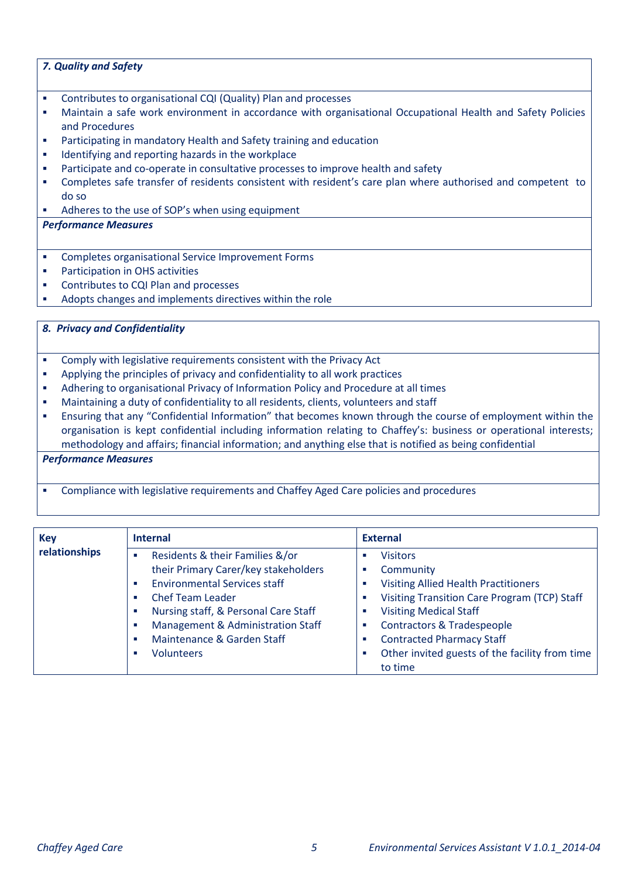# *7. Quality and Safety*

- Contributes to organisational CQI (Quality) Plan and processes
- Maintain a safe work environment in accordance with organisational Occupational Health and Safety Policies and Procedures
- Participating in mandatory Health and Safety training and education
- **IDENTIFY 1** Identifying and reporting hazards in the workplace
- Participate and co-operate in consultative processes to improve health and safety
- Completes safe transfer of residents consistent with resident's care plan where authorised and competent to do so
- Adheres to the use of SOP's when using equipment

# *Performance Measures*

- Completes organisational Service Improvement Forms
- **•** Participation in OHS activities
- **Contributes to CQI Plan and processes**
- Adopts changes and implements directives within the role

# *8. Privacy and Confidentiality*

- Comply with legislative requirements consistent with the Privacy Act
- Applying the principles of privacy and confidentiality to all work practices
- Adhering to organisational Privacy of Information Policy and Procedure at all times
- Maintaining a duty of confidentiality to all residents, clients, volunteers and staff
- Ensuring that any "Confidential Information" that becomes known through the course of employment within the organisation is kept confidential including information relating to Chaffey's: business or operational interests; methodology and affairs; financial information; and anything else that is notified as being confidential

#### *Performance Measures*

Compliance with legislative requirements and Chaffey Aged Care policies and procedures

| <b>Key</b>    | <b>Internal</b>                           | <b>External</b>                                          |
|---------------|-------------------------------------------|----------------------------------------------------------|
| relationships | Residents & their Families &/or<br>п      | <b>Visitors</b>                                          |
|               | their Primary Carer/key stakeholders      | Community                                                |
|               | <b>Environmental Services staff</b><br>п  | <b>Visiting Allied Health Practitioners</b>              |
|               | <b>Chef Team Leader</b>                   | <b>Visiting Transition Care Program (TCP) Staff</b><br>ш |
|               | Nursing staff, & Personal Care Staff<br>п | <b>Visiting Medical Staff</b><br>ш                       |
|               | Management & Administration Staff<br>п    | <b>Contractors &amp; Tradespeople</b>                    |
|               | Maintenance & Garden Staff<br>п           | <b>Contracted Pharmacy Staff</b><br>п                    |
|               | <b>Volunteers</b><br>п                    | Other invited guests of the facility from time           |
|               |                                           | to time                                                  |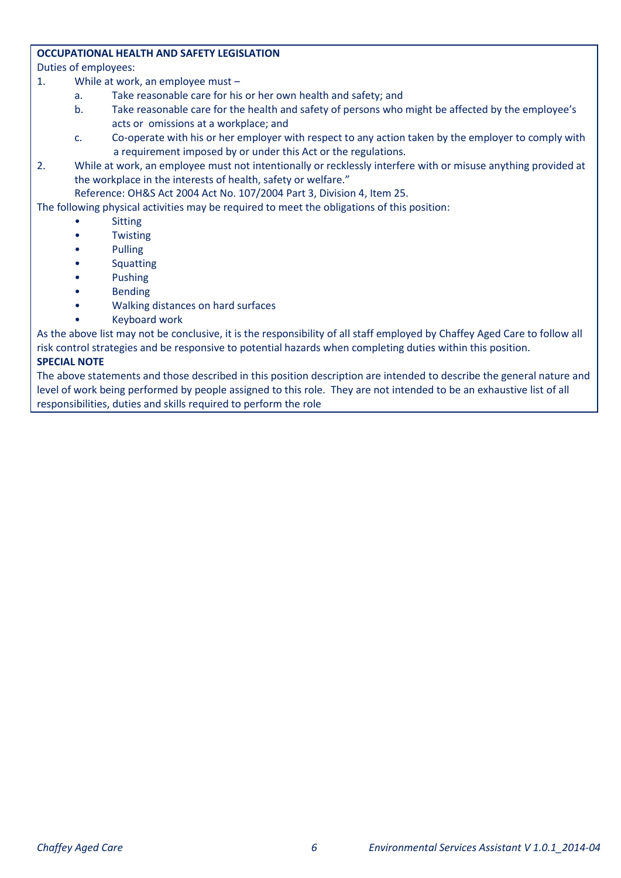# **OCCUPATIONAL HEALTH AND SAFETY LEGISLATION**

Duties of employees:

- 1. While at work, an employee must
	- a. Take reasonable care for his or her own health and safety; and
	- b. Take reasonable care for the health and safety of persons who might be affected by the employee's acts or omissions at a workplace; and
	- c. Co-operate with his or her employer with respect to any action taken by the employer to comply with a requirement imposed by or under this Act or the regulations.
- 2. While at work, an employee must not intentionally or recklessly interfere with or misuse anything provided at the workplace in the interests of health, safety or welfare."

Reference: OH&S Act 2004 Act No. 107/2004 Part 3, Division 4, Item 25.

The following physical activities may be required to meet the obligations of this position:

- **Sitting**
- **Twisting**
- Pulling
- **Squatting**
- Pushing
- **Bending**
- Walking distances on hard surfaces
- Keyboard work

As the above list may not be conclusive, it is the responsibility of all staff employed by Chaffey Aged Care to follow all risk control strategies and be responsive to potential hazards when completing duties within this position.

# **SPECIAL NOTE**

The above statements and those described in this position description are intended to describe the general nature and level of work being performed by people assigned to this role. They are not intended to be an exhaustive list of all responsibilities, duties and skills required to perform the role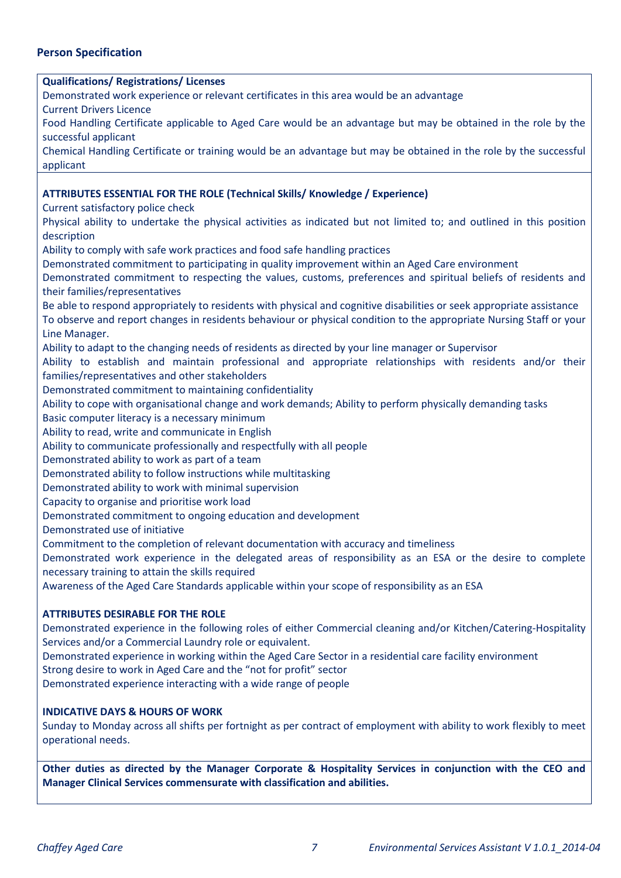# **Person Specification**

#### **Qualifications/ Registrations/ Licenses**

Demonstrated work experience or relevant certificates in this area would be an advantage

Current Drivers Licence

Food Handling Certificate applicable to Aged Care would be an advantage but may be obtained in the role by the successful applicant

Chemical Handling Certificate or training would be an advantage but may be obtained in the role by the successful applicant

#### **ATTRIBUTES ESSENTIAL FOR THE ROLE (Technical Skills/ Knowledge / Experience)**

Current satisfactory police check

Physical ability to undertake the physical activities as indicated but not limited to; and outlined in this position description

Ability to comply with safe work practices and food safe handling practices

Demonstrated commitment to participating in quality improvement within an Aged Care environment

Demonstrated commitment to respecting the values, customs, preferences and spiritual beliefs of residents and their families/representatives

Be able to respond appropriately to residents with physical and cognitive disabilities or seek appropriate assistance To observe and report changes in residents behaviour or physical condition to the appropriate Nursing Staff or your Line Manager.

Ability to adapt to the changing needs of residents as directed by your line manager or Supervisor

Ability to establish and maintain professional and appropriate relationships with residents and/or their families/representatives and other stakeholders

Demonstrated commitment to maintaining confidentiality

Ability to cope with organisational change and work demands; Ability to perform physically demanding tasks

Basic computer literacy is a necessary minimum

Ability to read, write and communicate in English

Ability to communicate professionally and respectfully with all people

Demonstrated ability to work as part of a team

Demonstrated ability to follow instructions while multitasking

Demonstrated ability to work with minimal supervision

Capacity to organise and prioritise work load

Demonstrated commitment to ongoing education and development

Demonstrated use of initiative

Commitment to the completion of relevant documentation with accuracy and timeliness

Demonstrated work experience in the delegated areas of responsibility as an ESA or the desire to complete necessary training to attain the skills required

Awareness of the Aged Care Standards applicable within your scope of responsibility as an ESA

#### **ATTRIBUTES DESIRABLE FOR THE ROLE**

Demonstrated experience in the following roles of either Commercial cleaning and/or Kitchen/Catering-Hospitality Services and/or a Commercial Laundry role or equivalent.

Demonstrated experience in working within the Aged Care Sector in a residential care facility environment

Strong desire to work in Aged Care and the "not for profit" sector

Demonstrated experience interacting with a wide range of people

#### **INDICATIVE DAYS & HOURS OF WORK**

Sunday to Monday across all shifts per fortnight as per contract of employment with ability to work flexibly to meet operational needs.

**Other duties as directed by the Manager Corporate & Hospitality Services in conjunction with the CEO and Manager Clinical Services commensurate with classification and abilities.**